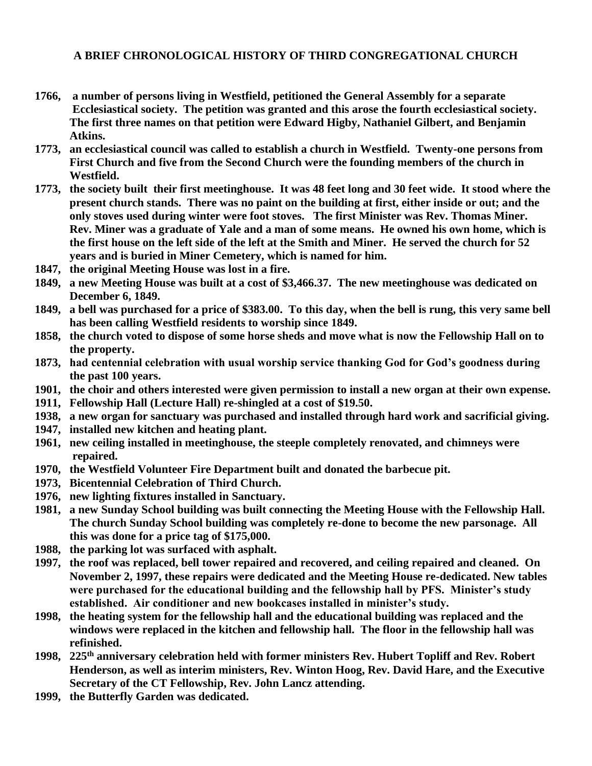## **A BRIEF CHRONOLOGICAL HISTORY OF THIRD CONGREGATIONAL CHURCH**

- **1766, a number of persons living in Westfield, petitioned the General Assembly for a separate Ecclesiastical society. The petition was granted and this arose the fourth ecclesiastical society. The first three names on that petition were Edward Higby, Nathaniel Gilbert, and Benjamin Atkins.**
- **1773, an ecclesiastical council was called to establish a church in Westfield. Twenty-one persons from First Church and five from the Second Church were the founding members of the church in Westfield.**
- **1773, the society built their first meetinghouse. It was 48 feet long and 30 feet wide. It stood where the present church stands. There was no paint on the building at first, either inside or out; and the only stoves used during winter were foot stoves. The first Minister was Rev. Thomas Miner. Rev. Miner was a graduate of Yale and a man of some means. He owned his own home, which is the first house on the left side of the left at the Smith and Miner. He served the church for 52 years and is buried in Miner Cemetery, which is named for him.**
- **1847, the original Meeting House was lost in a fire.**
- **1849, a new Meeting House was built at a cost of \$3,466.37. The new meetinghouse was dedicated on December 6, 1849.**
- **1849, a bell was purchased for a price of \$383.00. To this day, when the bell is rung, this very same bell has been calling Westfield residents to worship since 1849.**
- **1858, the church voted to dispose of some horse sheds and move what is now the Fellowship Hall on to the property.**
- **1873, had centennial celebration with usual worship service thanking God for God's goodness during the past 100 years.**
- **1901, the choir and others interested were given permission to install a new organ at their own expense.**
- **1911, Fellowship Hall (Lecture Hall) re-shingled at a cost of \$19.50.**
- **1938, a new organ for sanctuary was purchased and installed through hard work and sacrificial giving.**
- **1947, installed new kitchen and heating plant.**
- **1961, new ceiling installed in meetinghouse, the steeple completely renovated, and chimneys were repaired.**
- **1970, the Westfield Volunteer Fire Department built and donated the barbecue pit.**
- **1973, Bicentennial Celebration of Third Church.**
- **1976, new lighting fixtures installed in Sanctuary.**
- **1981, a new Sunday School building was built connecting the Meeting House with the Fellowship Hall. The church Sunday School building was completely re-done to become the new parsonage. All this was done for a price tag of \$175,000.**
- **1988, the parking lot was surfaced with asphalt.**
- **1997, the roof was replaced, bell tower repaired and recovered, and ceiling repaired and cleaned. On November 2, 1997, these repairs were dedicated and the Meeting House re-dedicated. New tables were purchased for the educational building and the fellowship hall by PFS. Minister's study established. Air conditioner and new bookcases installed in minister's study.**
- **1998, the heating system for the fellowship hall and the educational building was replaced and the windows were replaced in the kitchen and fellowship hall. The floor in the fellowship hall was refinished.**
- **1998, 225th anniversary celebration held with former ministers Rev. Hubert Topliff and Rev. Robert Henderson, as well as interim ministers, Rev. Winton Hoog, Rev. David Hare, and the Executive Secretary of the CT Fellowship, Rev. John Lancz attending.**
- **1999, the Butterfly Garden was dedicated.**